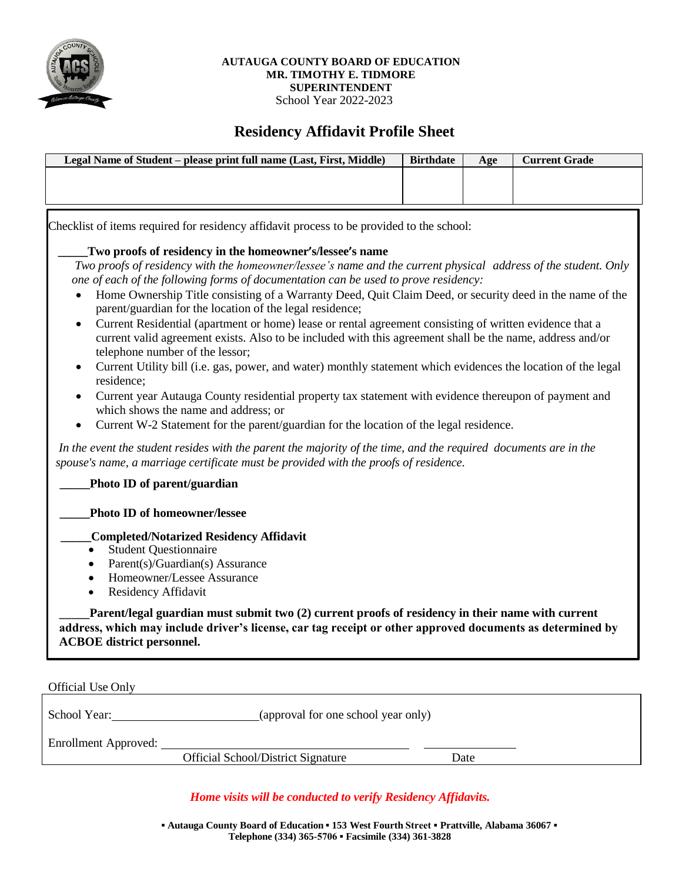

#### **AUTAUGA COUNTY BOARD OF EDUCATION MR. TIMOTHY E. TIDMORE SUPERINTENDENT** School Year 2022-2023

# **Residency Affidavit Profile Sheet**

| Legal Name of Student – please print full name (Last, First, Middle) | <b>Birthdate</b> | Age | <b>Current Grade</b> |
|----------------------------------------------------------------------|------------------|-----|----------------------|
|                                                                      |                  |     |                      |
|                                                                      |                  |     |                      |
|                                                                      |                  |     |                      |

Checklist of items required for residency affidavit process to be provided to the school:

# **\_\_\_\_\_Two proofs of residency in the homeowner's/lessee's name**

*Two proofs of residency with the homeowner/lessee's name and the current physical address of the student. Only one of each of the following forms of documentation can be used to prove residency:*

- Home Ownership Title consisting of a Warranty Deed, Quit Claim Deed, or security deed in the name of the parent/guardian for the location of the legal residence;
- Current Residential (apartment or home) lease or rental agreement consisting of written evidence that a current valid agreement exists. Also to be included with this agreement shall be the name, address and/or telephone number of the lessor;
- Current Utility bill (i.e. gas, power, and water) monthly statement which evidences the location of the legal residence;
- Current year Autauga County residential property tax statement with evidence thereupon of payment and which shows the name and address; or
- Current W-2 Statement for the parent/guardian for the location of the legal residence.

In the event the student resides with the parent the majority of the time, and the required documents are in the *spouse's name, a marriage certificate must be provided with the proofs of residence.*

# **\_\_\_\_\_Photo ID of parent/guardian**

# **\_\_\_\_\_Photo ID of homeowner/lessee**

# **\_\_\_\_\_Completed/Notarized Residency Affidavit**

- Student Questionnaire
- Parent(s)/Guardian(s) Assurance
- Homeowner/Lessee Assurance
- Residency Affidavit

\_\_\_\_\_**Parent/legal guardian must submit two (2) current proofs of residency in their name with current address, which may include driver's license, car tag receipt or other approved documents as determined by ACBOE district personnel.** 

Official Use Only

School Year: (approval for one school year only)

Enrollment Approved:

Official School/District Signature Date

# *Home visits will be conducted to verify Residency Affidavits.*

**▪ Autauga County Board of Education ▪ 153 West Fourth Street ▪ Prattville, Alabama 36067 ▪ Telephone (334) 365-5706 ▪ Facsimile (334) 361-3828**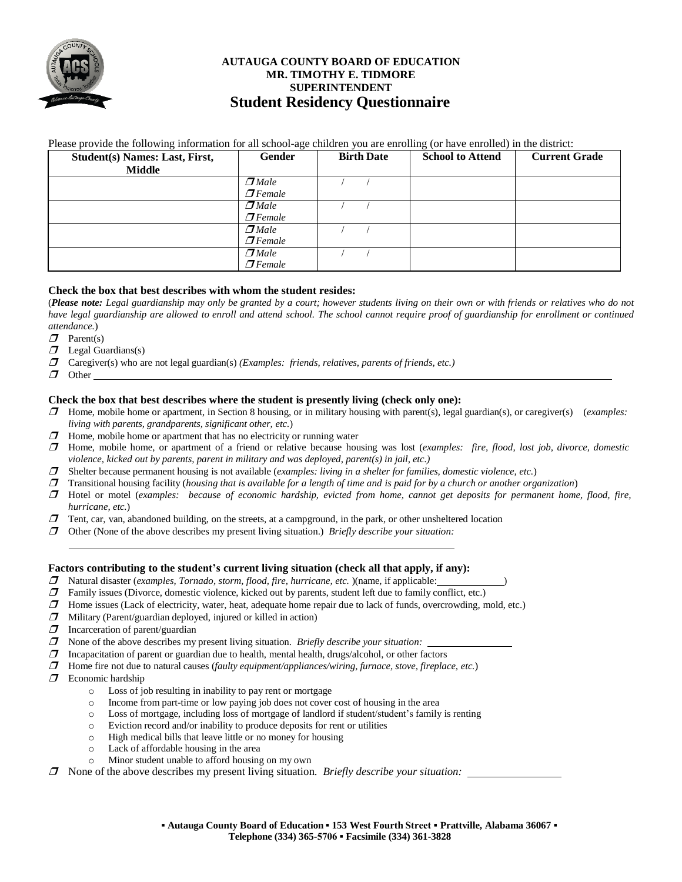

# **AUTAUGA COUNTY BOARD OF EDUCATION MR. TIMOTHY E. TIDMORE SUPERINTENDENT Student Residency Questionnaire**

| $C$ tudont(a) Nomoa Loat Einst | $Conder$ | <b>Dirth Doto</b> |                                                                                                                            |  |
|--------------------------------|----------|-------------------|----------------------------------------------------------------------------------------------------------------------------|--|
|                                |          |                   | Please provide the following information for all school-age children you are enrolling (or have enrolled) in the district: |  |

| Student(s) Names: Last, First, | <b>Gender</b>        | <b>Birth Date</b> | <b>School to Attend</b> | <b>Current Grade</b> |
|--------------------------------|----------------------|-------------------|-------------------------|----------------------|
| <b>Middle</b>                  |                      |                   |                         |                      |
|                                | $\Box$ <i>Male</i>   |                   |                         |                      |
|                                | $\mathcal{I}$ Female |                   |                         |                      |
|                                | $\Box$ <i>Male</i>   |                   |                         |                      |
|                                | $\sigma$ Female      |                   |                         |                      |
|                                | $\Box$ <i>Male</i>   |                   |                         |                      |
|                                | $\sigma$ Female      |                   |                         |                      |
|                                | $\Box$ <i>Male</i>   |                   |                         |                      |
|                                | $\sigma$ Female      |                   |                         |                      |

#### **Check the box that best describes with whom the student resides:**

(Please note: Legal guardianship may only be granted by a court; however students living on their own or with friends or relatives who do not have legal guardianship are allowed to enroll and attend school. The school cannot require proof of guardianship for enrollment or continued *attendance.*)

- $\boldsymbol{\mathcal{D}}$  Parent(s)
- $\Box$  Legal Guardians(s)
- Caregiver(s) who are not legal guardian(s) *(Examples: friends, relatives, parents of friends, etc.)*
- $\sigma$  Other

#### **Check the box that best describes where the student is presently living (check only one):**

- Home, mobile home or apartment, in Section 8 housing, or in military housing with parent(s), legal guardian(s), or caregiver(s) (*examples: living with parents, grandparents, significant other, etc.*)
- $\Box$  Home, mobile home or apartment that has no electricity or running water
- Home, mobile home, or apartment of a friend or relative because housing was lost (*examples: fire, flood, lost job, divorce, domestic violence, kicked out by parents, parent in military and was deployed, parent(s) in jail, etc.)*
- Shelter because permanent housing is not available (*examples: living in a shelter for families, domestic violence, etc.*)
- Transitional housing facility (*housing that is available for a length of time and is paid for by a church or another organization*)
- **I** Hotel or motel (examples: because of economic hardship, evicted from home, cannot get deposits for permanent home, flood, fire, *hurricane, etc.*)
- $\Box$  Tent, car, van, abandoned building, on the streets, at a campground, in the park, or other unsheltered location
- Other (None of the above describes my present living situation.) *Briefly describe your situation:*

#### **Factors contributing to the student's current living situation (check all that apply, if any):**

- Natural disaster (*examples, Tornado, storm, flood, fire, hurricane, etc.* )(name, if applicable: )
- $\Box$  Family issues (Divorce, domestic violence, kicked out by parents, student left due to family conflict, etc.)
- $\Box$  Home issues (Lack of electricity, water, heat, adequate home repair due to lack of funds, overcrowding, mold, etc.)
- $\Box$  Military (Parent/guardian deployed, injured or killed in action)
- $\Box$  Incarceration of parent/guardian
- None of the above describes my present living situation. *Briefly describe your situation:*
- $\Box$  Incapacitation of parent or guardian due to health, mental health, drugs/alcohol, or other factors
- Home fire not due to natural causes (*faulty equipment/appliances/wiring, furnace, stove, fireplace, etc.*)
- $\Box$  Economic hardship
	- o Loss of job resulting in inability to pay rent or mortgage
	- o Income from part-time or low paying job does not cover cost of housing in the area
	- o Loss of mortgage, including loss of mortgage of landlord if student/student's family is renting
	- o Eviction record and/or inability to produce deposits for rent or utilities
	- o High medical bills that leave little or no money for housing
	- o Lack of affordable housing in the area
	- o Minor student unable to afford housing on my own
- None of the above describes my present living situation. *Briefly describe your situation:*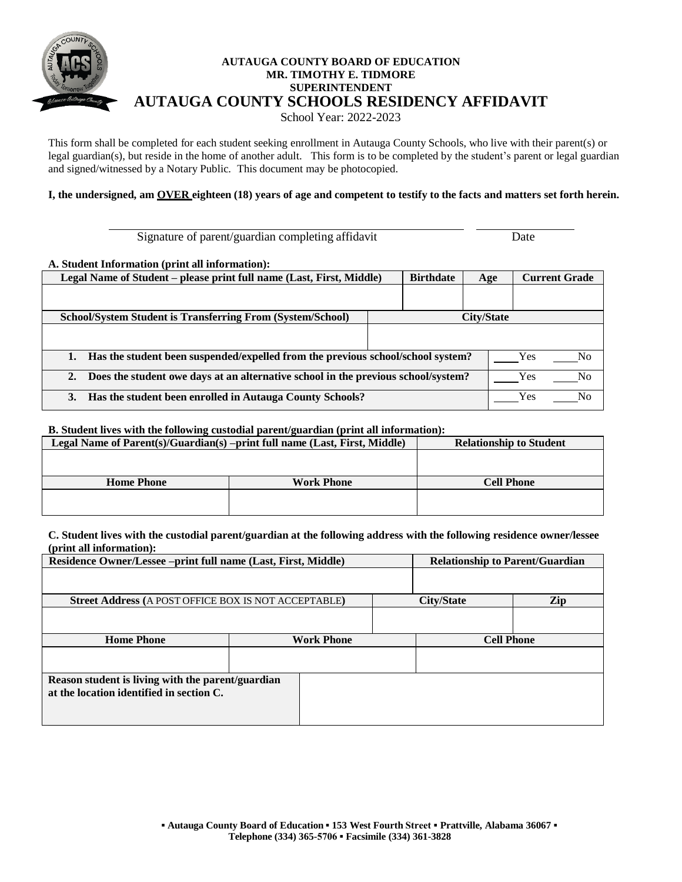

# **AUTAUGA COUNTY BOARD OF EDUCATION MR. TIMOTHY E. TIDMORE SUPERINTENDENT AUTAUGA COUNTY SCHOOLS RESIDENCY AFFIDAVIT** School Year: 2022-2023

This form shall be completed for each student seeking enrollment in Autauga County Schools, who live with their parent(s) or legal guardian(s), but reside in the home of another adult. This form is to be completed by the student's parent or legal guardian and signed/witnessed by a Notary Public. This document may be photocopied.

I, the undersigned, am OVER eighteen (18) years of age and competent to testify to the facts and matters set forth herein.

Signature of parent/guardian completing affidavit Date

#### **A. Student Information (print all information):**

| Legal Name of Student – please print full name (Last, First, Middle)                    | <b>Birthdate</b> | Age                   | <b>Current Grade</b> |  |
|-----------------------------------------------------------------------------------------|------------------|-----------------------|----------------------|--|
|                                                                                         |                  |                       |                      |  |
| <b>School/System Student is Transferring From (System/School)</b>                       |                  | City/State            |                      |  |
|                                                                                         |                  |                       |                      |  |
| Has the student been suspended/expelled from the previous school/school system?         |                  | Yes<br>N <sub>0</sub> |                      |  |
| Does the student owe days at an alternative school in the previous school/system?<br>2. |                  | Yes<br>No             |                      |  |
| Has the student been enrolled in Autauga County Schools?<br>3.                          |                  | Yes<br>N٥             |                      |  |

#### **B. Student lives with the following custodial parent/guardian (print all information):**

| Legal Name of Parent(s)/Guardian(s) –print full name (Last, First, Middle) | <b>Relationship to Student</b> |
|----------------------------------------------------------------------------|--------------------------------|
|                                                                            |                                |
|                                                                            |                                |
| <b>Home Phone</b>                                                          | <b>Cell Phone</b>              |
|                                                                            |                                |
|                                                                            |                                |

#### **C. Student lives with the custodial parent/guardian at the following address with the following residence owner/lessee (print all information):**

| Residence Owner/Lessee -print full name (Last, First, Middle) | <b>Relationship to Parent/Guardian</b> |                   |                   |  |  |  |
|---------------------------------------------------------------|----------------------------------------|-------------------|-------------------|--|--|--|
|                                                               |                                        |                   |                   |  |  |  |
| <b>Street Address (A POST OFFICE BOX IS NOT ACCEPTABLE)</b>   |                                        | Zip<br>City/State |                   |  |  |  |
|                                                               |                                        |                   |                   |  |  |  |
| <b>Home Phone</b>                                             | <b>Work Phone</b>                      |                   | <b>Cell Phone</b> |  |  |  |
|                                                               |                                        |                   |                   |  |  |  |
| Reason student is living with the parent/guardian             |                                        |                   |                   |  |  |  |
| at the location identified in section C.                      |                                        |                   |                   |  |  |  |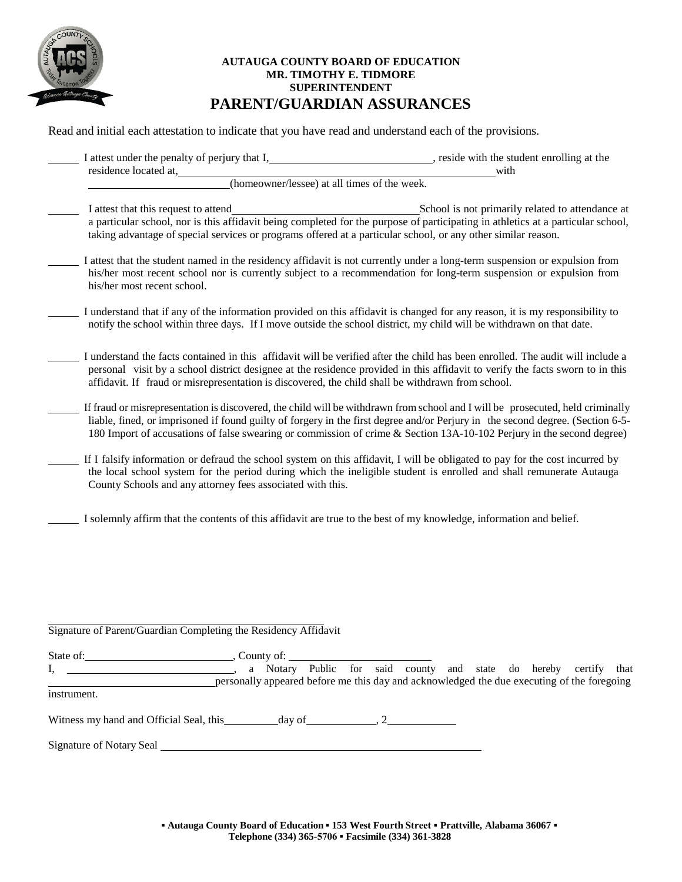

# **AUTAUGA COUNTY BOARD OF EDUCATION MR. TIMOTHY E. TIDMORE SUPERINTENDENT PARENT/GUARDIAN ASSURANCES**

Read and initial each attestation to indicate that you have read and understand each of the provisions.

| I attest under the penalty of perjury that I,                                                                                                         | , reside with the student enrolling at the                                                                                                                                                                                                                                                                                                                                                |
|-------------------------------------------------------------------------------------------------------------------------------------------------------|-------------------------------------------------------------------------------------------------------------------------------------------------------------------------------------------------------------------------------------------------------------------------------------------------------------------------------------------------------------------------------------------|
| residence located at,<br>(homeowner/lessee) at all times of the week.                                                                                 | with                                                                                                                                                                                                                                                                                                                                                                                      |
| I attest that this request to attend<br>taking advantage of special services or programs offered at a particular school, or any other similar reason. | School is not primarily related to attendance at<br>a particular school, nor is this affidavit being completed for the purpose of participating in athletics at a particular school,                                                                                                                                                                                                      |
| his/her most recent school.                                                                                                                           | I attest that the student named in the residency affidavit is not currently under a long-term suspension or expulsion from<br>his/her most recent school nor is currently subject to a recommendation for long-term suspension or expulsion from                                                                                                                                          |
| notify the school within three days. If I move outside the school district, my child will be withdrawn on that date.                                  | I understand that if any of the information provided on this affidavit is changed for any reason, it is my responsibility to                                                                                                                                                                                                                                                              |
| affidavit. If fraud or misrepresentation is discovered, the child shall be withdrawn from school.                                                     | I understand the facts contained in this affidavit will be verified after the child has been enrolled. The audit will include a<br>personal visit by a school district designee at the residence provided in this affidavit to verify the facts sworn to in this                                                                                                                          |
|                                                                                                                                                       | If fraud or misrepresentation is discovered, the child will be withdrawn from school and I will be prosecuted, held criminally<br>liable, fined, or imprisoned if found guilty of forgery in the first degree and/or Perjury in the second degree. (Section 6-5-<br>180 Import of accusations of false swearing or commission of crime & Section 13A-10-102 Perjury in the second degree) |
| County Schools and any attorney fees associated with this.                                                                                            | If I falsify information or defraud the school system on this affidavit, I will be obligated to pay for the cost incurred by<br>the local school system for the period during which the ineligible student is enrolled and shall remunerate Autauga                                                                                                                                       |
| I solemnly affirm that the contents of this affidavit are true to the best of my knowledge, information and belief.                                   |                                                                                                                                                                                                                                                                                                                                                                                           |
|                                                                                                                                                       |                                                                                                                                                                                                                                                                                                                                                                                           |
|                                                                                                                                                       |                                                                                                                                                                                                                                                                                                                                                                                           |
| Signature of Parent/Guardian Completing the Residency Affidavit                                                                                       |                                                                                                                                                                                                                                                                                                                                                                                           |
| State of:<br>., County of:                                                                                                                            |                                                                                                                                                                                                                                                                                                                                                                                           |

I, , a Notary Public for said county and state do hereby certify that personally appeared before me this day and acknowledged the due executing of the foregoing instrument.

Witness my hand and Official Seal, this  $\qquad \qquad$  day of  $\qquad \qquad$ , 2

Signature of Notary Seal <u>the Contract of Seal of</u> Seal the Contract of Seal of Seal of Seal of Seal of Seal of Seal of Seal of Seal of Seal of Seal of Seal of Seal of Seal of Seal of Seal of Seal of Seal of Seal of Seal o